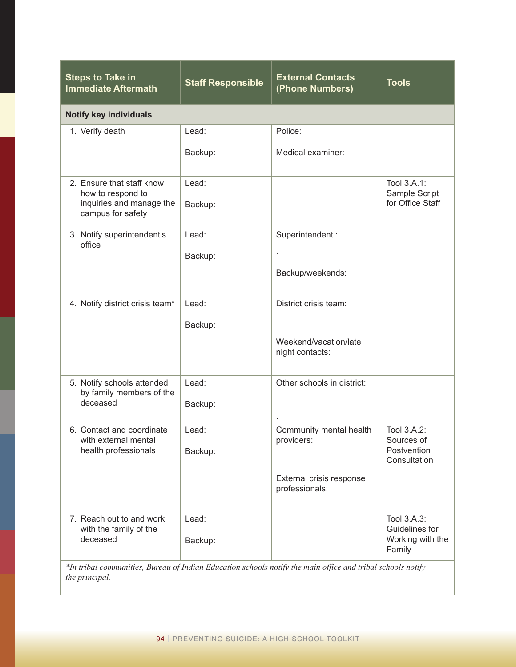| <b>Steps to Take in</b><br><b>Immediate Aftermath</b>                                                                         | <b>Staff Responsible</b> | <b>External Contacts</b><br>(Phone Numbers) | <b>Tools</b>                                                |  |
|-------------------------------------------------------------------------------------------------------------------------------|--------------------------|---------------------------------------------|-------------------------------------------------------------|--|
| <b>Notify key individuals</b>                                                                                                 |                          |                                             |                                                             |  |
| 1. Verify death                                                                                                               | Lead:                    | Police:                                     |                                                             |  |
|                                                                                                                               | Backup:                  | Medical examiner:                           |                                                             |  |
| 2. Ensure that staff know<br>how to respond to<br>inquiries and manage the<br>campus for safety                               | Lead:<br>Backup:         |                                             | Tool 3.A.1:<br>Sample Script<br>for Office Staff            |  |
| 3. Notify superintendent's<br>office                                                                                          | Lead:                    | Superintendent:                             |                                                             |  |
|                                                                                                                               | Backup:                  |                                             |                                                             |  |
|                                                                                                                               |                          | Backup/weekends:                            |                                                             |  |
| 4. Notify district crisis team*                                                                                               | Lead:                    | District crisis team:                       |                                                             |  |
|                                                                                                                               | Backup:                  | Weekend/vacation/late<br>night contacts:    |                                                             |  |
| 5. Notify schools attended<br>by family members of the<br>deceased                                                            | Lead:<br>Backup:         | Other schools in district:                  |                                                             |  |
|                                                                                                                               |                          |                                             |                                                             |  |
| 6. Contact and coordinate<br>with external mental<br>health professionals                                                     | Lead:<br>Backup:         | Community mental health<br>providers:       | Tool 3.A.2:<br>Sources of<br>Postvention<br>Consultation    |  |
|                                                                                                                               |                          | External crisis response<br>professionals:  |                                                             |  |
| 7. Reach out to and work<br>with the family of the<br>deceased                                                                | Lead:<br>Backup:         |                                             | Tool 3.A.3:<br>Guidelines for<br>Working with the<br>Family |  |
| *In tribal communities, Bureau of Indian Education schools notify the main office and tribal schools notify<br>the principal. |                          |                                             |                                                             |  |